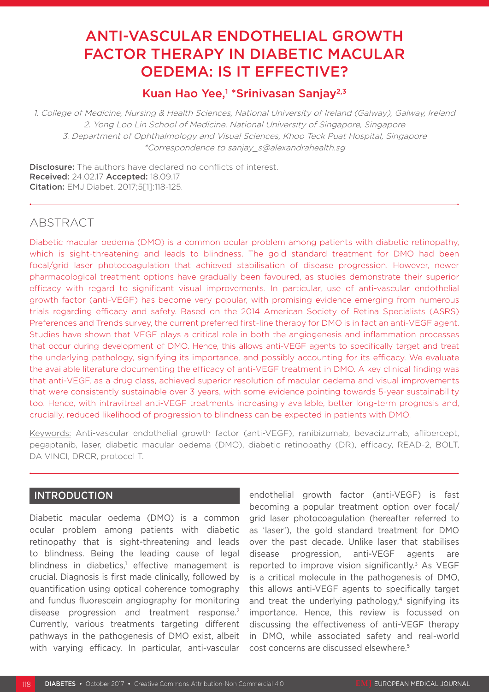# ANTI-VASCULAR ENDOTHELIAL GROWTH FACTOR THERAPY IN DIABETIC MACULAR OEDEMA: IS IT EFFECTIVE?

## Kuan Hao Yee,<sup>1</sup> \*Srinivasan Sanjay<sup>2,3</sup>

1. College of Medicine, Nursing & Health Sciences, National University of Ireland (Galway), Galway, Ireland 2. Yong Loo Lin School of Medicine, National University of Singapore, Singapore 3. Department of Ophthalmology and Visual Sciences, Khoo Teck Puat Hospital, Singapore \*Correspondence to sanjay\_s@alexandrahealth.sg

**Disclosure:** The authors have declared no conflicts of interest. Received: 24.02.17 Accepted: 18.09.17 Citation: EMJ Diabet. 2017;5[1]:118-125.

### ABSTRACT

Diabetic macular oedema (DMO) is a common ocular problem among patients with diabetic retinopathy, which is sight-threatening and leads to blindness. The gold standard treatment for DMO had been focal/grid laser photocoagulation that achieved stabilisation of disease progression. However, newer pharmacological treatment options have gradually been favoured, as studies demonstrate their superior efficacy with regard to significant visual improvements. In particular, use of anti-vascular endothelial growth factor (anti-VEGF) has become very popular, with promising evidence emerging from numerous trials regarding efficacy and safety. Based on the 2014 American Society of Retina Specialists (ASRS) Preferences and Trends survey, the current preferred first-line therapy for DMO is in fact an anti-VEGF agent. Studies have shown that VEGF plays a critical role in both the angiogenesis and inflammation processes that occur during development of DMO. Hence, this allows anti-VEGF agents to specifically target and treat the underlying pathology, signifying its importance, and possibly accounting for its efficacy. We evaluate the available literature documenting the efficacy of anti-VEGF treatment in DMO. A key clinical finding was that anti-VEGF, as a drug class, achieved superior resolution of macular oedema and visual improvements that were consistently sustainable over 3 years, with some evidence pointing towards 5-year sustainability too. Hence, with intravitreal anti-VEGF treatments increasingly available, better long-term prognosis and, crucially, reduced likelihood of progression to blindness can be expected in patients with DMO.

Keywords: Anti-vascular endothelial growth factor (anti-VEGF), ranibizumab, bevacizumab, aflibercept, pegaptanib, laser, diabetic macular oedema (DMO), diabetic retinopathy (DR), efficacy, READ-2, BOLT, DA VINCI, DRCR, protocol T.

### INTRODUCTION

Diabetic macular oedema (DMO) is a common ocular problem among patients with diabetic retinopathy that is sight-threatening and leads to blindness. Being the leading cause of legal blindness in diabetics,<sup>1</sup> effective management is crucial. Diagnosis is first made clinically, followed by quantification using optical coherence tomography and fundus fluorescein angiography for monitoring disease progression and treatment response.<sup>2</sup> Currently, various treatments targeting different pathways in the pathogenesis of DMO exist, albeit with varying efficacy. In particular, anti-vascular

endothelial growth factor (anti-VEGF) is fast becoming a popular treatment option over focal/ grid laser photocoagulation (hereafter referred to as 'laser'), the gold standard treatment for DMO over the past decade. Unlike laser that stabilises disease progression, anti-VEGF agents are reported to improve vision significantly.<sup>3</sup> As VEGF is a critical molecule in the pathogenesis of DMO, this allows anti-VEGF agents to specifically target and treat the underlying pathology, $4$  signifying its importance. Hence, this review is focussed on discussing the effectiveness of anti-VEGF therapy in DMO, while associated safety and real-world cost concerns are discussed elsewhere.5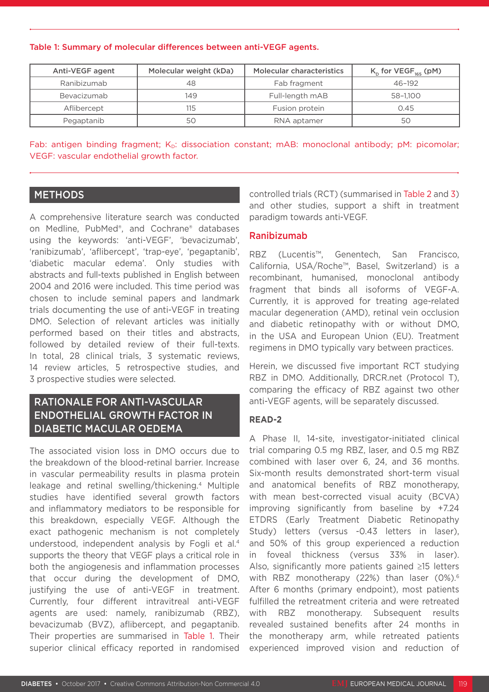#### Table 1: Summary of molecular differences between anti-VEGF agents.

| Anti-VEGF agent | Molecular weight (kDa) |                 | $K_{D}$ for VEGF <sub>165</sub> (pM) |  |
|-----------------|------------------------|-----------------|--------------------------------------|--|
| Ranibizumab     | 48                     | Fab fragment    | $46 - 192$                           |  |
| Bevacizumab     | 149                    | Full-length mAB | 58-1.100                             |  |
| Aflibercept     | 115                    | Fusion protein  | 0.45                                 |  |
| Pegaptanib      | 50                     | RNA aptamer     | 50                                   |  |

Fab: antigen binding fragment; K<sub>D</sub>: dissociation constant; mAB: monoclonal antibody; pM: picomolar; VEGF: vascular endothelial growth factor.

### METHODS

A comprehensive literature search was conducted on Medline, PubMed®, and Cochrane® databases using the keywords: 'anti-VEGF', 'bevacizumab', 'ranibizumab', 'aflibercept', 'trap-eye', 'pegaptanib', 'diabetic macular edema'. Only studies with abstracts and full-texts published in English between 2004 and 2016 were included. This time period was chosen to include seminal papers and landmark trials documenting the use of anti-VEGF in treating DMO. Selection of relevant articles was initially performed based on their titles and abstracts, followed by detailed review of their full-texts. In total, 28 clinical trials, 3 systematic reviews, 14 review articles, 5 retrospective studies, and 3 prospective studies were selected.

### RATIONALE FOR ANTI-VASCULAR ENDOTHELIAL GROWTH FACTOR IN DIABETIC MACULAR OEDEMA

The associated vision loss in DMO occurs due to the breakdown of the blood-retinal barrier. Increase in vascular permeability results in plasma protein leakage and retinal swelling/thickening.4 Multiple studies have identified several growth factors and inflammatory mediators to be responsible for this breakdown, especially VEGF. Although the exact pathogenic mechanism is not completely understood, independent analysis by Fogli et al.4 supports the theory that VEGF plays a critical role in both the angiogenesis and inflammation processes that occur during the development of DMO, justifying the use of anti-VEGF in treatment. Currently, four different intravitreal anti-VEGF agents are used: namely, ranibizumab (RBZ), bevacizumab (BVZ), aflibercept, and pegaptanib. Their properties are summarised in Table 1. Their superior clinical efficacy reported in randomised controlled trials (RCT) (summarised in Table 2 and 3) and other studies, support a shift in treatment paradigm towards anti-VEGF.

#### Ranibizumab

RBZ (Lucentis™, Genentech, San Francisco, California, USA/Roche™, Basel, Switzerland) is a recombinant, humanised, monoclonal antibody fragment that binds all isoforms of VEGF-A. Currently, it is approved for treating age-related macular degeneration (AMD), retinal vein occlusion and diabetic retinopathy with or without DMO, in the USA and European Union (EU). Treatment regimens in DMO typically vary between practices.

Herein, we discussed five important RCT studying RBZ in DMO. Additionally, DRCR.net (Protocol T), comparing the efficacy of RBZ against two other anti-VEGF agents, will be separately discussed.

#### **READ-2**

A Phase II, 14-site, investigator-initiated clinical trial comparing 0.5 mg RBZ, laser, and 0.5 mg RBZ combined with laser over 6, 24, and 36 months. Six-month results demonstrated short-term visual and anatomical benefits of RBZ monotherapy, with mean best-corrected visual acuity (BCVA) improving significantly from baseline by +7.24 ETDRS (Early Treatment Diabetic Retinopathy Study) letters (versus -0.43 letters in laser), and 50% of this group experienced a reduction in foveal thickness (versus 33% in laser). Also, significantly more patients gained ≥15 letters with RBZ monotherapy (22%) than laser (0%).<sup>6</sup> After 6 months (primary endpoint), most patients fulfilled the retreatment criteria and were retreated with RBZ monotherapy. Subsequent results revealed sustained benefits after 24 months in the monotherapy arm, while retreated patients experienced improved vision and reduction of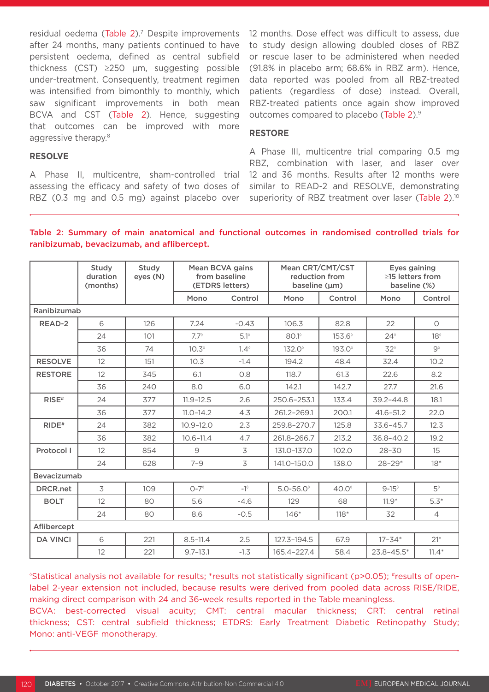residual oedema (Table 2).<sup>7</sup> Despite improvements after 24 months, many patients continued to have persistent oedema, defined as central subfield thickness (CST) ≥250 µm, suggesting possible under-treatment. Consequently, treatment regimen was intensified from bimonthly to monthly, which saw significant improvements in both mean BCVA and CST (Table 2). Hence, suggesting that outcomes can be improved with more aggressive therapy.<sup>8</sup>

12 months. Dose effect was difficult to assess, due to study design allowing doubled doses of RBZ or rescue laser to be administered when needed (91.8% in placebo arm; 68.6% in RBZ arm). Hence, data reported was pooled from all RBZ-treated patients (regardless of dose) instead. Overall, RBZ-treated patients once again show improved outcomes compared to placebo (Table 2).<sup>9</sup>

#### **RESTORE**

#### **RESOLVE**

A Phase II, multicentre, sham-controlled trial assessing the efficacy and safety of two doses of RBZ (0.3 mg and 0.5 mg) against placebo over

A Phase III, multicentre trial comparing 0.5 mg RBZ, combination with laser, and laser over 12 and 36 months. Results after 12 months were similar to READ-2 and RESOLVE, demonstrating superiority of RBZ treatment over laser (Table 2).<sup>10</sup>

#### Table 2: Summary of main anatomical and functional outcomes in randomised controlled trials for ranibizumab, bevacizumab, and aflibercept.

|                     | Study<br>duration<br>(months) | Study<br>eyes (N) | Mean BCVA gains<br>from baseline<br>(ETDRS letters) |             | Mean CRT/CMT/CST<br>reduction from<br>baseline (µm) |                    | Eyes gaining<br>$\geq$ 15 letters from<br>baseline (%) |                |  |
|---------------------|-------------------------------|-------------------|-----------------------------------------------------|-------------|-----------------------------------------------------|--------------------|--------------------------------------------------------|----------------|--|
|                     |                               |                   | Mono                                                | Control     | Mono                                                | Control            | Mono                                                   | Control        |  |
|                     | Ranibizumab                   |                   |                                                     |             |                                                     |                    |                                                        |                |  |
| READ-2              | 6                             | 126               | 7.24                                                | $-0.43$     | 106.3                                               | 82.8               | 22                                                     | $\bigcirc$     |  |
|                     | 24                            | 101               | $7.7^\circ$                                         | $5.1^\circ$ | $80.1^\circ$                                        | $153.6^\circ$      | $24^{\circ}$                                           | $18^\circ$     |  |
|                     | 36                            | 74                | $10.3^\circ$                                        | $1.4^\circ$ | $132.0^{\circ}$                                     | 193.0 <sup>°</sup> | $32^{\circ}$                                           | $9^{\circ}$    |  |
| <b>RESOLVE</b>      | 12                            | 151               | 10.3                                                | $-1.4$      | 194.2                                               | 48.4               | 32.4                                                   | 10.2           |  |
| <b>RESTORE</b>      | 12                            | 345               | 6.1                                                 | 0.8         | 118.7                                               | 61.3               | 22.6                                                   | 8.2            |  |
|                     | 36                            | 240               | 8.0                                                 | 6.0         | 142.1                                               | 142.7              | 27.7                                                   | 21.6           |  |
| RISE#               | 24                            | 377               | $11.9 - 12.5$                                       | 2.6         | 250.6-253.1                                         | 133.4              | $39.2 - 44.8$                                          | 18.1           |  |
|                     | 36                            | 377               | $11.0 - 14.2$                                       | 4.3         | 261.2-269.1                                         | 200.1              | $41.6 - 51.2$                                          | 22.0           |  |
| $RIDE$ <sup>#</sup> | 24                            | 382               | $10.9 - 12.0$                                       | 2.3         | 259.8-270.7                                         | 125.8              | $33.6 - 45.7$                                          | 12.3           |  |
|                     | 36                            | 382               | $10.6 - 11.4$                                       | 4.7         | 261.8-266.7                                         | 213.2              | $36.8 - 40.2$                                          | 19.2           |  |
| Protocol I          | 12                            | 854               | 9                                                   | 3           | 131.0-137.0                                         | 102.0              | $28 - 30$                                              | 15             |  |
|                     | 24                            | 628               | $7 - 9$                                             | 3           | 141.0-150.0                                         | 138.0              | $28 - 29*$                                             | $18*$          |  |
| Bevacizumab         |                               |                   |                                                     |             |                                                     |                    |                                                        |                |  |
| <b>DRCR.net</b>     | 3                             | 109               | $O-7^{\circ}$                                       | $-1^\circ$  | $5.0 - 56.0^{\circ}$                                | $40.0^\circ$       | $9-15^\circ$                                           | $5^{\circ}$    |  |
| <b>BOLT</b>         | 12                            | 80                | 5.6                                                 | $-4.6$      | 129                                                 | 68                 | $11.9*$                                                | $5.3*$         |  |
|                     | 24                            | 80                | 8.6                                                 | $-0.5$      | $146*$                                              | $118*$             | 32                                                     | $\overline{4}$ |  |
| Aflibercept         |                               |                   |                                                     |             |                                                     |                    |                                                        |                |  |
| <b>DA VINCI</b>     | 6                             | 221               | $8.5 - 11.4$                                        | 2.5         | 127.3-194.5                                         | 67.9               | $17 - 34*$                                             | $21*$          |  |
|                     | 12                            | 221               | $9.7 - 13.1$                                        | $-1.3$      | 165.4-227.4                                         | 58.4               | $23.8 - 45.5*$                                         | $11.4*$        |  |

◊ Statistical analysis not available for results; \*results not statistically significant (p>0.05); #results of openlabel 2-year extension not included, because results were derived from pooled data across RISE/RIDE, making direct comparison with 24 and 36-week results reported in the Table meaningless.

BCVA: best-corrected visual acuity; CMT: central macular thickness; CRT: central retinal thickness; CST: central subfield thickness; ETDRS: Early Treatment Diabetic Retinopathy Study; Mono: anti-VEGF monotherapy.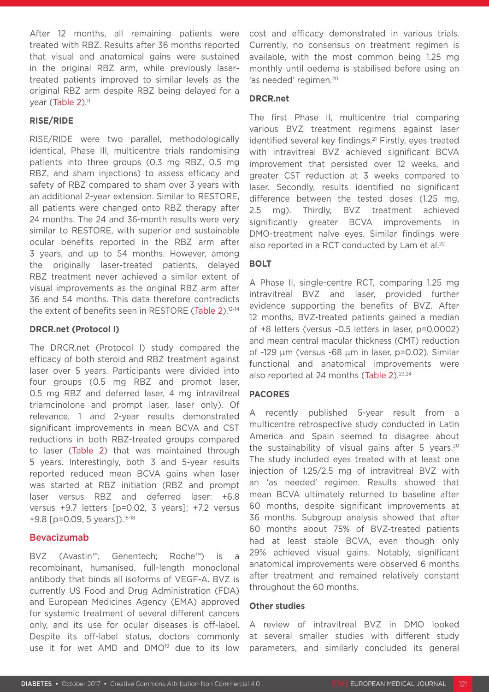After 12 months, all remaining patients were treated with RBZ. Results after 36 months reported that visual and anatomical gains were sustained in the original RBZ arm, while previously lasertreated patients improved to similar levels as the original RBZ arm despite RBZ being delayed for a year (Table 2).<sup>11</sup>

#### **RISE/RIDE**

RISE/RIDE were two parallel, methodologically identical, Phase III, multicentre trials randomising patients into three groups (0.3 mg RBZ, 0.5 mg RBZ, and sham injections) to assess efficacy and safety of RBZ compared to sham over 3 years with an additional 2-year extension. Similar to RESTORE, all patients were changed onto RBZ therapy after 24 months. The 24 and 36-month results were very similar to RESTORE, with superior and sustainable ocular benefits reported in the RBZ arm after 3 years, and up to 54 months. However, among the originally laser-treated patients, delayed RBZ treatment never achieved a similar extent of visual improvements as the original RBZ arm after 36 and 54 months. This data therefore contradicts the extent of benefits seen in RESTORE (Table 2).12-14

#### **DRCR.net (Protocol I)**

The DRCR.net (Protocol I) study compared the efficacy of both steroid and RBZ treatment against laser over 5 years. Participants were divided into four groups (0.5 mg RBZ and prompt laser, 0.5 mg RBZ and deferred laser, 4 mg intravitreal triamcinolone and prompt laser, laser only). Of relevance, 1 and 2-year results demonstrated significant improvements in mean BCVA and CST reductions in both RBZ-treated groups compared to laser (Table 2) that was maintained through 5 years. Interestingly, both 3 and 5-year results reported reduced mean BCVA gains when laser was started at RBZ initiation (RBZ and prompt laser versus RBZ and deferred laser: +6.8 versus +9.7 letters [p=0.02, 3 years]; +7.2 versus  $+9.8$  [p=0.09, 5 years]).<sup>15-18</sup>

#### Bevacizumab

BVZ (Avastin™, Genentech; Roche™) is a recombinant, humanised, full-length monoclonal antibody that binds all isoforms of VEGF-A. BVZ is currently US Food and Drug Administration (FDA) and European Medicines Agency (EMA) approved for systemic treatment of several different cancers only, and its use for ocular diseases is off-label. Despite its off-label status, doctors commonly use it for wet AMD and DMO<sup>19</sup> due to its low

cost and efficacy demonstrated in various trials. Currently, no consensus on treatment regimen is available, with the most common being 1.25 mg monthly until oedema is stabilised before using an 'as needed' regimen.<sup>20</sup>

#### **DRCR.net**

The first Phase II, multicentre trial comparing various BVZ treatment regimens against laser identified several key findings.<sup>21</sup> Firstly, eyes treated with intravitreal BVZ achieved significant BCVA improvement that persisted over 12 weeks, and greater CST reduction at 3 weeks compared to laser. Secondly, results identified no significant difference between the tested doses (1.25 mg, 2.5 mg). Thirdly, BVZ treatment achieved significantly greater BCVA improvements in DMO-treatment naïve eyes. Similar findings were also reported in a RCT conducted by Lam et al.<sup>22</sup>

#### **BOLT**

A Phase II, single-centre RCT, comparing 1.25 mg intravitreal BVZ and laser, provided further evidence supporting the benefits of BVZ. After 12 months, BVZ-treated patients gained a median of +8 letters (versus -0.5 letters in laser, p=0.0002) and mean central macular thickness (CMT) reduction of -129 µm (versus -68 µm in laser, p=0.02). Similar functional and anatomical improvements were also reported at 24 months (Table 2).<sup>23,24</sup>

#### **PACORES**

A recently published 5-year result from a multicentre retrospective study conducted in Latin America and Spain seemed to disagree about the sustainability of visual gains after 5 years.<sup>20</sup> The study included eyes treated with at least one injection of 1.25/2.5 mg of intravitreal BVZ with an 'as needed' regimen. Results showed that mean BCVA ultimately returned to baseline after 60 months, despite significant improvements at 36 months. Subgroup analysis showed that after 60 months about 75% of BVZ-treated patients had at least stable BCVA, even though only 29% achieved visual gains. Notably, significant anatomical improvements were observed 6 months after treatment and remained relatively constant throughout the 60 months.

#### **Other studies**

A review of intravitreal BVZ in DMO looked at several smaller studies with different study parameters, and similarly concluded its general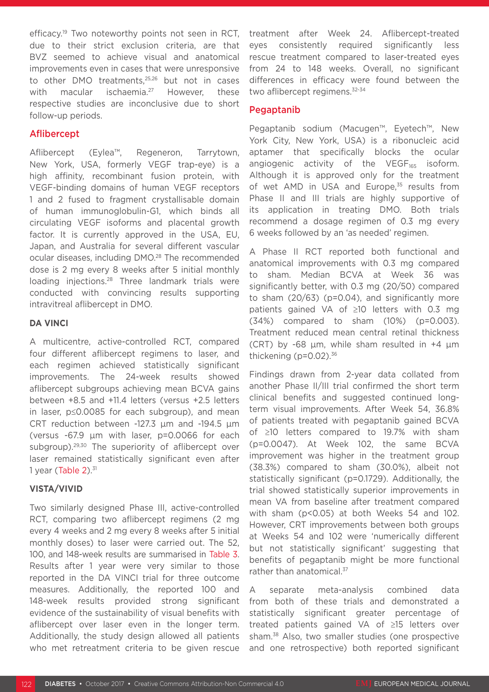efficacy.<sup>19</sup> Two noteworthy points not seen in RCT, due to their strict exclusion criteria, are that BVZ seemed to achieve visual and anatomical improvements even in cases that were unresponsive to other DMO treatments,<sup>25,26</sup> but not in cases with macular ischaemia.<sup>27</sup> However, these respective studies are inconclusive due to short follow-up periods.

#### Aflibercept

Aflibercept (Eylea™, Regeneron, Tarrytown, New York, USA, formerly VEGF trap-eye) is a high affinity, recombinant fusion protein, with VEGF-binding domains of human VEGF receptors 1 and 2 fused to fragment crystallisable domain of human immunoglobulin-G1, which binds all circulating VEGF isoforms and placental growth factor. It is currently approved in the USA, EU, Japan, and Australia for several different vascular ocular diseases, including DMO.28 The recommended dose is 2 mg every 8 weeks after 5 initial monthly loading injections.<sup>28</sup> Three landmark trials were conducted with convincing results supporting intravitreal aflibercept in DMO.

#### **DA VINCI**

A multicentre, active-controlled RCT, compared four different aflibercept regimens to laser, and each regimen achieved statistically significant improvements. The 24-week results showed aflibercept subgroups achieving mean BCVA gains between +8.5 and +11.4 letters (versus +2.5 letters in laser, p≤0.0085 for each subgroup), and mean CRT reduction between -127.3 µm and -194.5 µm (versus -67.9 µm with laser, p=0.0066 for each subgroup).<sup>29,30</sup> The superiority of aflibercept over laser remained statistically significant even after 1 year (Table  $2$ ).<sup>31</sup>

#### **VISTA/VIVID**

Two similarly designed Phase III, active-controlled RCT, comparing two aflibercept regimens (2 mg every 4 weeks and 2 mg every 8 weeks after 5 initial monthly doses) to laser were carried out. The 52, 100, and 148-week results are summarised in Table 3. Results after 1 year were very similar to those reported in the DA VINCI trial for three outcome measures. Additionally, the reported 100 and 148-week results provided strong significant evidence of the sustainability of visual benefits with aflibercept over laser even in the longer term. Additionally, the study design allowed all patients who met retreatment criteria to be given rescue treatment after Week 24. Aflibercept-treated eyes consistently required significantly less rescue treatment compared to laser-treated eyes from 24 to 148 weeks. Overall, no significant differences in efficacy were found between the two aflibercept regimens.<sup>32-34</sup>

#### Pegaptanib

Pegaptanib sodium (Macugen™, Eyetech™, New York City, New York, USA) is a ribonucleic acid aptamer that specifically blocks the ocular angiogenic activity of the VEGF $_{165}$  isoform. Although it is approved only for the treatment of wet AMD in USA and Europe,<sup>35</sup> results from Phase II and III trials are highly supportive of its application in treating DMO. Both trials recommend a dosage regimen of 0.3 mg every 6 weeks followed by an 'as needed' regimen.

A Phase II RCT reported both functional and anatomical improvements with 0.3 mg compared to sham. Median BCVA at Week 36 was significantly better, with 0.3 mg (20/50) compared to sham (20/63) (p=0.04), and significantly more patients gained VA of ≥10 letters with 0.3 mg (34%) compared to sham (10%) (p=0.003). Treatment reduced mean central retinal thickness (CRT) by -68  $\mu$ m, while sham resulted in +4  $\mu$ m thickening ( $p=0.02$ ).<sup>36</sup>

Findings drawn from 2-year data collated from another Phase II/III trial confirmed the short term clinical benefits and suggested continued longterm visual improvements. After Week 54, 36.8% of patients treated with pegaptanib gained BCVA of ≥10 letters compared to 19.7% with sham (p=0.0047). At Week 102, the same BCVA improvement was higher in the treatment group (38.3%) compared to sham (30.0%), albeit not statistically significant (p=0.1729). Additionally, the trial showed statistically superior improvements in mean VA from baseline after treatment compared with sham (p<0.05) at both Weeks 54 and 102. However, CRT improvements between both groups at Weeks 54 and 102 were 'numerically different but not statistically significant' suggesting that benefits of pegaptanib might be more functional rather than anatomical.<sup>37</sup>

A separate meta-analysis combined data from both of these trials and demonstrated a statistically significant greater percentage of treated patients gained VA of ≥15 letters over sham.38 Also, two smaller studies (one prospective and one retrospective) both reported significant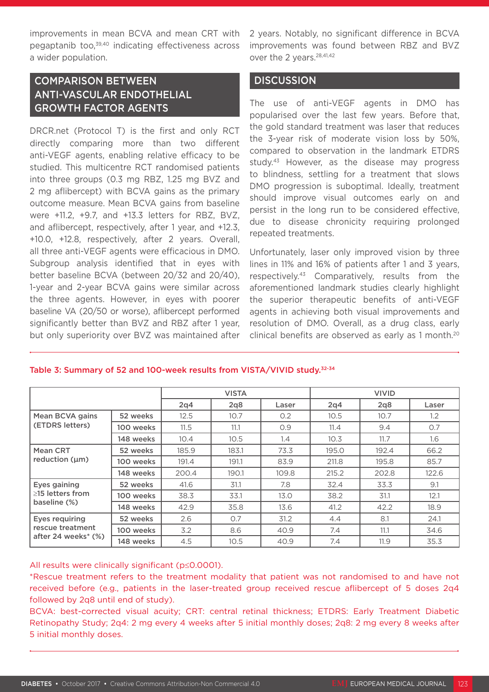improvements in mean BCVA and mean CRT with pegaptanib too,<sup>39,40</sup> indicating effectiveness across a wider population.

## COMPARISON BETWEEN ANTI-VASCULAR ENDOTHELIAL GROWTH FACTOR AGENTS

DRCR.net (Protocol T) is the first and only RCT directly comparing more than two different anti-VEGF agents, enabling relative efficacy to be studied. This multicentre RCT randomised patients into three groups (0.3 mg RBZ, 1.25 mg BVZ and 2 mg aflibercept) with BCVA gains as the primary outcome measure. Mean BCVA gains from baseline were +11.2, +9.7, and +13.3 letters for RBZ, BVZ, and aflibercept, respectively, after 1 year, and +12.3, +10.0, +12.8, respectively, after 2 years. Overall, all three anti-VEGF agents were efficacious in DMO. Subgroup analysis identified that in eyes with better baseline BCVA (between 20/32 and 20/40), 1-year and 2-year BCVA gains were similar across the three agents. However, in eyes with poorer baseline VA (20/50 or worse), aflibercept performed significantly better than BVZ and RBZ after 1 year, but only superiority over BVZ was maintained after 2 years. Notably, no significant difference in BCVA improvements was found between RBZ and BVZ over the 2 years.<sup>28,41,42</sup>

#### **DISCUSSION**

The use of anti-VEGF agents in DMO has popularised over the last few years. Before that, the gold standard treatment was laser that reduces the 3-year risk of moderate vision loss by 50%, compared to observation in the landmark ETDRS study.43 However, as the disease may progress to blindness, settling for a treatment that slows DMO progression is suboptimal. Ideally, treatment should improve visual outcomes early on and persist in the long run to be considered effective, due to disease chronicity requiring prolonged repeated treatments.

Unfortunately, laser only improved vision by three lines in 11% and 16% of patients after 1 and 3 years, respectively.43 Comparatively, results from the aforementioned landmark studies clearly highlight the superior therapeutic benefits of anti-VEGF agents in achieving both visual improvements and resolution of DMO. Overall, as a drug class, early clinical benefits are observed as early as 1 month.<sup>20</sup>

|                                                                  |           | <b>VISTA</b> |       |       | <b>VIVID</b>    |       |               |
|------------------------------------------------------------------|-----------|--------------|-------|-------|-----------------|-------|---------------|
|                                                                  |           | 2q4          | 2q8   | Laser | 2q <sub>4</sub> | 2q8   | Laser         |
| <b>Mean BCVA gains</b><br>(ETDRS letters)                        | 52 weeks  | 12.5         | 10.7  | O.2   | 10.5            | 10.7  | $1.2^{\circ}$ |
|                                                                  | 100 weeks | 11.5         | 11.1  | O.9   | 11.4            | 9.4   | 0.7           |
|                                                                  | 148 weeks | 10.4         | 10.5  | 1.4   | 10.3            | 11.7  | 1.6           |
| <b>Mean CRT</b><br>reduction (um)                                | 52 weeks  | 185.9        | 183.1 | 73.3  | 195.0           | 192.4 | 66.2          |
|                                                                  | 100 weeks | 191.4        | 191.1 | 83.9  | 211.8           | 195.8 | 85.7          |
|                                                                  | 148 weeks | 200.4        | 190.1 | 109.8 | 215.2           | 202.8 | 122.6         |
| Eyes gaining<br>$\geq$ 15 letters from<br>baseline (%)           | 52 weeks  | 41.6         | 31.1  | 7.8   | 32.4            | 33.3  | 9.1           |
|                                                                  | 100 weeks | 38.3         | 33.1  | 13.0  | 38.2            | 31.1  | 12.1          |
|                                                                  | 148 weeks | 42.9         | 35.8  | 13.6  | 41.2            | 42.2  | 18.9          |
| <b>Eyes requiring</b><br>rescue treatment<br>after 24 weeks* (%) | 52 weeks  | 2.6          | O.7   | 31.2  | 4.4             | 8.1   | 24.1          |
|                                                                  | 100 weeks | 3.2          | 8.6   | 40.9  | 7.4             | 11.1  | 34.6          |
|                                                                  | 148 weeks | 4.5          | 10.5  | 40.9  | 7.4             | 11.9  | 35.3          |

#### Table 3: Summary of 52 and 100-week results from VISTA/VIVID study.32-34

#### All results were clinically significant (p≤0.0001).

\*Rescue treatment refers to the treatment modality that patient was not randomised to and have not received before (e.g., patients in the laser-treated group received rescue aflibercept of 5 doses 2q4 followed by 2q8 until end of study).

BCVA: best-corrected visual acuity; CRT: central retinal thickness; ETDRS: Early Treatment Diabetic Retinopathy Study; 2q4: 2 mg every 4 weeks after 5 initial monthly doses; 2q8: 2 mg every 8 weeks after 5 initial monthly doses.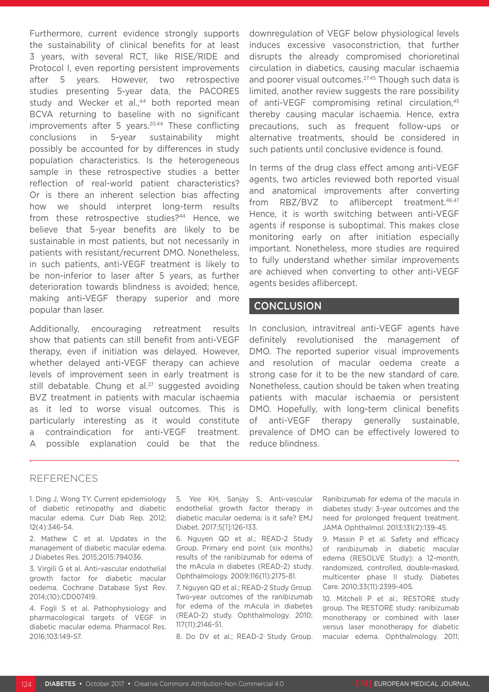Furthermore, current evidence strongly supports the sustainability of clinical benefits for at least 3 years, with several RCT, like RISE/RIDE and Protocol I, even reporting persistent improvements after 5 years. However, two retrospective studies presenting 5-year data, the PACORES study and Wecker et al.,<sup>44</sup> both reported mean BCVA returning to baseline with no significant improvements after 5 years.<sup>20,44</sup> These conflicting conclusions in 5-year sustainability might possibly be accounted for by differences in study population characteristics. Is the heterogeneous sample in these retrospective studies a better reflection of real-world patient characteristics? Or is there an inherent selection bias affecting how we should interpret long-term results from these retrospective studies?<sup>44</sup> Hence, we believe that 5-year benefits are likely to be sustainable in most patients, but not necessarily in patients with resistant/recurrent DMO. Nonetheless, in such patients, anti-VEGF treatment is likely to be non-inferior to laser after 5 years, as further deterioration towards blindness is avoided; hence, making anti-VEGF therapy superior and more popular than laser.

Additionally, encouraging retreatment results show that patients can still benefit from anti-VEGF therapy, even if initiation was delayed. However, whether delayed anti-VEGF therapy can achieve levels of improvement seen in early treatment is still debatable. Chung et al.<sup>27</sup> suggested avoiding BVZ treatment in patients with macular ischaemia as it led to worse visual outcomes. This is particularly interesting as it would constitute a contraindication for anti-VEGF treatment. A possible explanation could be that the

downregulation of VEGF below physiological levels induces excessive vasoconstriction, that further disrupts the already compromised chorioretinal circulation in diabetics, causing macular ischaemia and poorer visual outcomes.<sup>27,45</sup> Though such data is limited, another review suggests the rare possibility of anti-VEGF compromising retinal circulation,<sup>45</sup> thereby causing macular ischaemia. Hence, extra precautions, such as frequent follow-ups or alternative treatments, should be considered in such patients until conclusive evidence is found.

In terms of the drug class effect among anti-VEGF agents, two articles reviewed both reported visual and anatomical improvements after converting from RBZ/BVZ to aflibercept treatment.<sup>46,47</sup> Hence, it is worth switching between anti-VEGF agents if response is suboptimal. This makes close monitoring early on after initiation especially important. Nonetheless, more studies are required to fully understand whether similar improvements are achieved when converting to other anti-VEGF agents besides aflibercept.

#### **CONCLUSION**

In conclusion, intravitreal anti-VEGF agents have definitely revolutionised the management of DMO. The reported superior visual improvements and resolution of macular oedema create a strong case for it to be the new standard of care. Nonetheless, caution should be taken when treating patients with macular ischaemia or persistent DMO. Hopefully, with long-term clinical benefits of anti-VEGF therapy generally sustainable, prevalence of DMO can be effectively lowered to reduce blindness.

#### REFERENCES

1. Ding J, Wong TY. Current epidemiology of diabetic retinopathy and diabetic macular edema. Curr Diab Rep. 2012; 12(4):346-54.

2. Mathew C et al. Updates in the management of diabetic macular edema. J Diabetes Res. 2015;2015:794036.

3. Virgili G et al. Anti-vascular endothelial growth factor for diabetic macular oedema. Cochrane Database Syst Rev. 2014;(10):CD007419.

4. Fogli S et al. Pathophysiology and pharmacological targets of VEGF in diabetic macular edema. Pharmacol Res. 2016;103:149-57.

5. Yee KH, Sanjay S. Anti-vascular endothelial growth factor therapy in diabetic macular oedema: is it safe? EMJ Diabet. 2017;5[1]:126-133.

6. Nguyen QD et al.; READ-2 Study Group. Primary end point (six months) results of the ranibizumab for edema of the mAcula in diabetes (READ-2) study. Ophthalmology. 2009;116(11):2175-81.

7. Nguyen QD et al.; READ-2 Study Group. Two-year outcomes of the ranibizumab for edema of the mAcula in diabetes (READ-2) study. Ophthalmology. 2010; 117(11):2146-51.

8. Do DV et al.; READ-2 Study Group.

Ranibizumab for edema of the macula in diabetes study: 3-year outcomes and the need for prolonged frequent treatment. JAMA Ophthalmol. 2013;131(2):139-45.

9. Massin P et al. Safety and efficacy of ranibizumab in diabetic macular edema (RESOLVE Study): a 12-month, randomized, controlled, double-masked, multicenter phase II study. Diabetes Care. 2010;33(11):2399-405.

10. Mitchell P et al.; RESTORE study group. The RESTORE study: ranibizumab monotherapy or combined with laser versus laser monotherapy for diabetic macular edema. Ophthalmology. 2011;